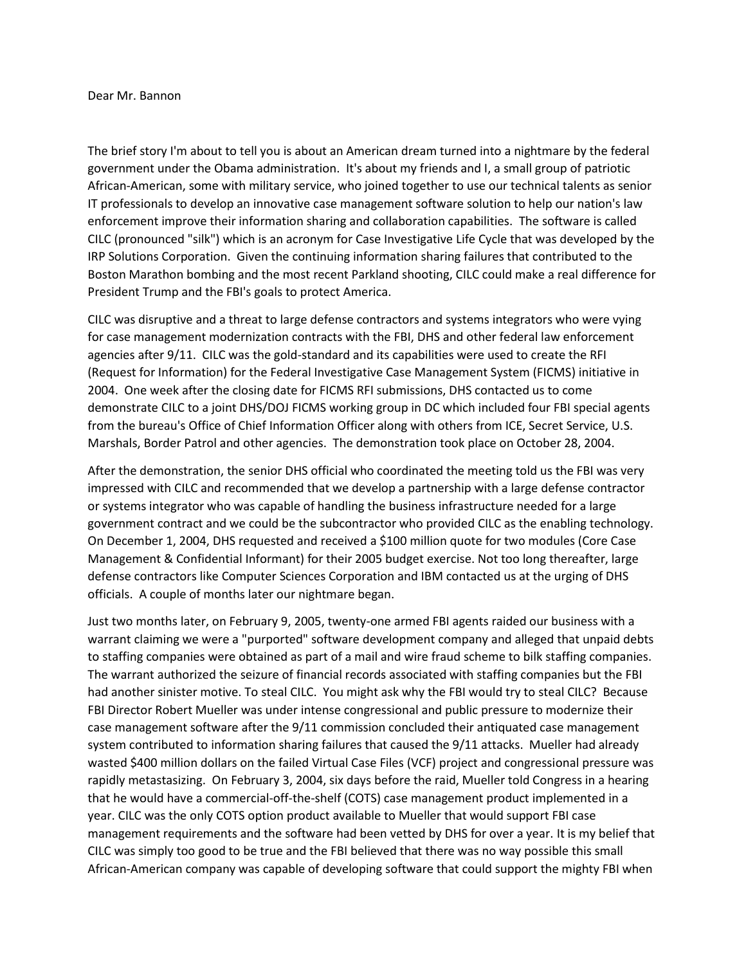## Dear Mr. Bannon

The brief story I'm about to tell you is about an American dream turned into a nightmare by the federal government under the Obama administration. It's about my friends and I, a small group of patriotic African-American, some with military service, who joined together to use our technical talents as senior IT professionals to develop an innovative case management software solution to help our nation's law enforcement improve their information sharing and collaboration capabilities. The software is called CILC (pronounced "silk") which is an acronym for Case Investigative Life Cycle that was developed by the IRP Solutions Corporation. Given the continuing information sharing failures that contributed to the Boston Marathon bombing and the most recent Parkland shooting, CILC could make a real difference for President Trump and the FBI's goals to protect America.

CILC was disruptive and a threat to large defense contractors and systems integrators who were vying for case management modernization contracts with the FBI, DHS and other federal law enforcement agencies after 9/11. CILC was the gold-standard and its capabilities were used to create the RFI (Request for Information) for the Federal Investigative Case Management System (FICMS) initiative in 2004. One week after the closing date for FICMS RFI submissions, DHS contacted us to come demonstrate CILC to a joint DHS/DOJ FICMS working group in DC which included four FBI special agents from the bureau's Office of Chief Information Officer along with others from ICE, Secret Service, U.S. Marshals, Border Patrol and other agencies. The demonstration took place on October 28, 2004.

After the demonstration, the senior DHS official who coordinated the meeting told us the FBI was very impressed with CILC and recommended that we develop a partnership with a large defense contractor or systems integrator who was capable of handling the business infrastructure needed for a large government contract and we could be the subcontractor who provided CILC as the enabling technology. On December 1, 2004, DHS requested and received a \$100 million quote for two modules (Core Case Management & Confidential Informant) for their 2005 budget exercise. Not too long thereafter, large defense contractors like Computer Sciences Corporation and IBM contacted us at the urging of DHS officials. A couple of months later our nightmare began.

Just two months later, on February 9, 2005, twenty-one armed FBI agents raided our business with a warrant claiming we were a "purported" software development company and alleged that unpaid debts to staffing companies were obtained as part of a mail and wire fraud scheme to bilk staffing companies. The warrant authorized the seizure of financial records associated with staffing companies but the FBI had another sinister motive. To steal CILC. You might ask why the FBI would try to steal CILC? Because FBI Director Robert Mueller was under intense congressional and public pressure to modernize their case management software after the 9/11 commission concluded their antiquated case management system contributed to information sharing failures that caused the 9/11 attacks. Mueller had already wasted \$400 million dollars on the failed Virtual Case Files (VCF) project and congressional pressure was rapidly metastasizing. On February 3, 2004, six days before the raid, Mueller told Congress in a hearing that he would have a commercial-off-the-shelf (COTS) case management product implemented in a year. CILC was the only COTS option product available to Mueller that would support FBI case management requirements and the software had been vetted by DHS for over a year. It is my belief that CILC was simply too good to be true and the FBI believed that there was no way possible this small African-American company was capable of developing software that could support the mighty FBI when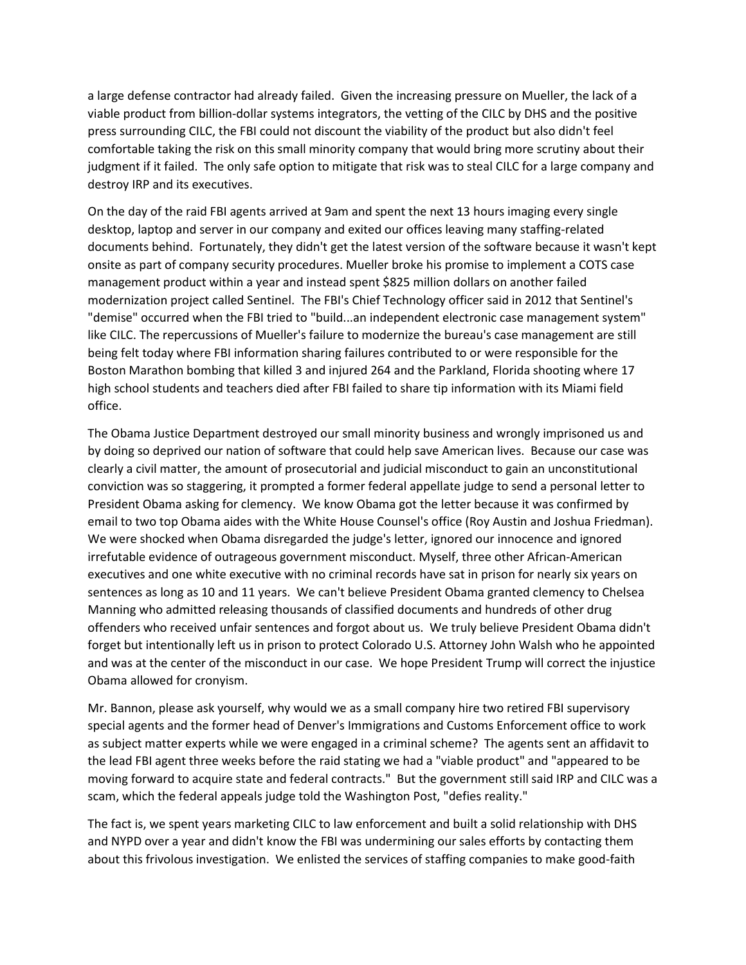a large defense contractor had already failed. Given the increasing pressure on Mueller, the lack of a viable product from billion-dollar systems integrators, the vetting of the CILC by DHS and the positive press surrounding CILC, the FBI could not discount the viability of the product but also didn't feel comfortable taking the risk on this small minority company that would bring more scrutiny about their judgment if it failed. The only safe option to mitigate that risk was to steal CILC for a large company and destroy IRP and its executives.

On the day of the raid FBI agents arrived at 9am and spent the next 13 hours imaging every single desktop, laptop and server in our company and exited our offices leaving many staffing-related documents behind. Fortunately, they didn't get the latest version of the software because it wasn't kept onsite as part of company security procedures. Mueller broke his promise to implement a COTS case management product within a year and instead spent \$825 million dollars on another failed modernization project called Sentinel. The FBI's Chief Technology officer said in 2012 that Sentinel's "demise" occurred when the FBI tried to "build...an independent electronic case management system" like CILC. The repercussions of Mueller's failure to modernize the bureau's case management are still being felt today where FBI information sharing failures contributed to or were responsible for the Boston Marathon bombing that killed 3 and injured 264 and the Parkland, Florida shooting where 17 high school students and teachers died after FBI failed to share tip information with its Miami field office.

The Obama Justice Department destroyed our small minority business and wrongly imprisoned us and by doing so deprived our nation of software that could help save American lives. Because our case was clearly a civil matter, the amount of prosecutorial and judicial misconduct to gain an unconstitutional conviction was so staggering, it prompted a former federal appellate judge to send a personal letter to President Obama asking for clemency. We know Obama got the letter because it was confirmed by email to two top Obama aides with the White House Counsel's office (Roy Austin and Joshua Friedman). We were shocked when Obama disregarded the judge's letter, ignored our innocence and ignored irrefutable evidence of outrageous government misconduct. Myself, three other African-American executives and one white executive with no criminal records have sat in prison for nearly six years on sentences as long as 10 and 11 years. We can't believe President Obama granted clemency to Chelsea Manning who admitted releasing thousands of classified documents and hundreds of other drug offenders who received unfair sentences and forgot about us. We truly believe President Obama didn't forget but intentionally left us in prison to protect Colorado U.S. Attorney John Walsh who he appointed and was at the center of the misconduct in our case. We hope President Trump will correct the injustice Obama allowed for cronyism.

Mr. Bannon, please ask yourself, why would we as a small company hire two retired FBI supervisory special agents and the former head of Denver's Immigrations and Customs Enforcement office to work as subject matter experts while we were engaged in a criminal scheme? The agents sent an affidavit to the lead FBI agent three weeks before the raid stating we had a "viable product" and "appeared to be moving forward to acquire state and federal contracts." But the government still said IRP and CILC was a scam, which the federal appeals judge told the Washington Post, "defies reality."

The fact is, we spent years marketing CILC to law enforcement and built a solid relationship with DHS and NYPD over a year and didn't know the FBI was undermining our sales efforts by contacting them about this frivolous investigation. We enlisted the services of staffing companies to make good-faith